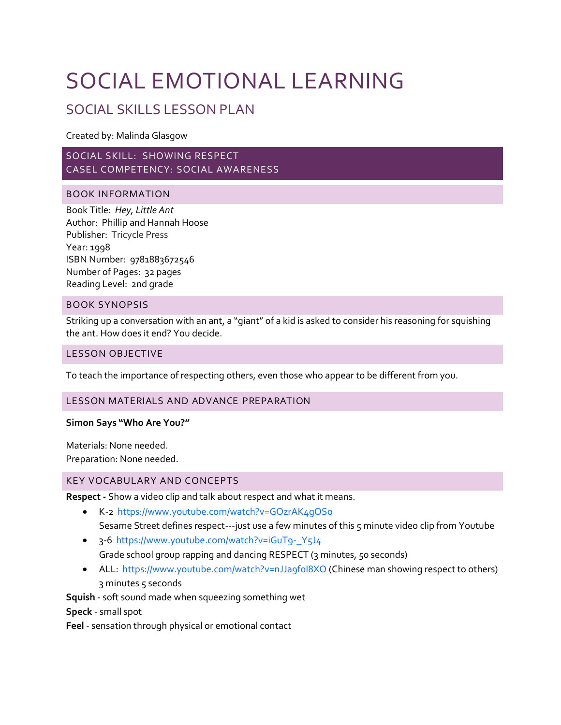## SOCIAL EMOTIONAL LEARNING

### SOCIAL SKILLS LESSON PLAN

Created by: Malinda Glasgow

#### SOCIAL SKILL: SHOWING RESPECT CASEL COMPETENCY: SOCIAL AWARENESS

#### BOOK INFORMATION

Book Title: *Hey, Little Ant*  Author: Phillip and Hannah Hoose Publisher: Tricycle Press Year: 1998 ISBN Number: 9781883672546 Number of Pages: 32 pages Reading Level: 2nd grade

#### BOOK SYNOPSIS

Striking up a conversation with an ant, a "giant" of a kid is asked to consider his reasoning for squishing the ant. How does it end? You decide.

#### LESSON OBJECTIVE

To teach the importance of respecting others, even those who appear to be different from you.

#### LESSON MATERIALS AND ADVANCE PREPARATION

#### **Simon Says "Who Are You?"**

Materials: None needed. Preparation: None needed.

#### KEY VOCABULARY AND CONCEPTS

**Respect -** Show a video clip and talk about respect and what it means.

- K-2<https://www.youtube.com/watch?v=GOzrAK4gOSo> Sesame Street defines respect---just use a few minutes of this 5 minute video clip from Youtube
- 3-6 [https://www.youtube.com/watch?v=iGuT9-\\_Y5J4](https://www.youtube.com/watch?v=iGuT9-_Y5J4) Grade school group rapping and dancing RESPECT (3 minutes, 50 seconds)
- ALL: https://www.youtube.com/watch?v=nJJa9fol8XQ (Chinese man showing respect to others) 3 minutes 5 seconds

**Squish** - soft sound made when squeezing something wet

**Speck** - small spot

**Feel** - sensation through physical or emotional contact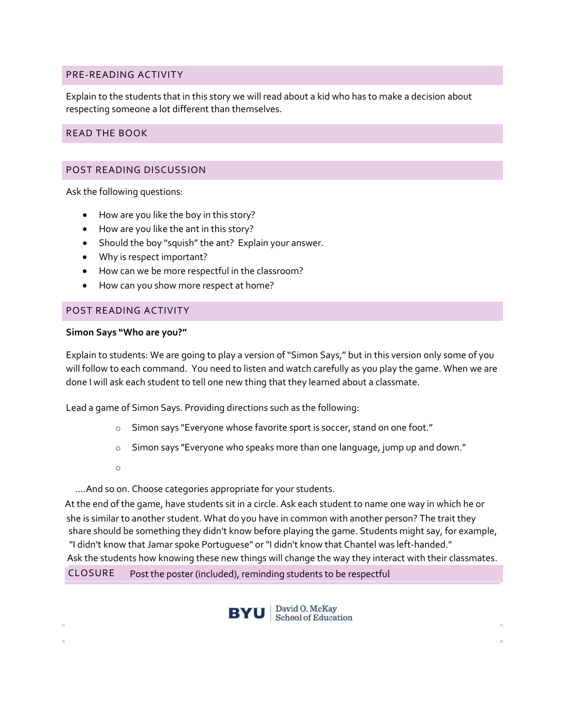#### PRE-READING ACTIVITY

Explain to the students that in this story we will read about a kid who has to make a decision about respecting someone a lot different than themselves.

#### READ THE BOOK

#### POST READING DISCUSSION

Ask the following questions:

- How are you like the boy in this story?
- How are you like the ant in this story?
- Should the boy "squish" the ant? Explain your answer.
- Why is respect important?
- How can we be more respectful in the classroom?
- How can you show more respect at home?

#### POST READING ACTIVITY

#### **Simon Says "Who are you?"**

Explain to students: We are going to play a version of "Simon Says," but in this version only some of you will follow to each command. You need to listen and watch carefully as you play the game. When we are done I will ask each student to tell one new thing that they learned about a classmate.

Lead a game of Simon Says. Providing directions such as the following:

- o Simon says "Everyone whose favorite sport is soccer, stand on one foot."
- o Simon says "Everyone who speaks more than one language, jump up and down."
- o

….And so on. Choose categories appropriate for your students.

At the end of the game, have students sit in a circle. Ask each student to name one way in which he or she is similar to another student. What do you have in common with another person? The trait they share should be something they didn't know before playing the game. Students might say, for example, "I didn't know that Jamar spoke Portuguese" or "I didn't know that Chantel was left-handed." Ask the students how knowing these new things will change the way they interact with their classmates. CLOSURE Post the poster (included), reminding students to be respectful